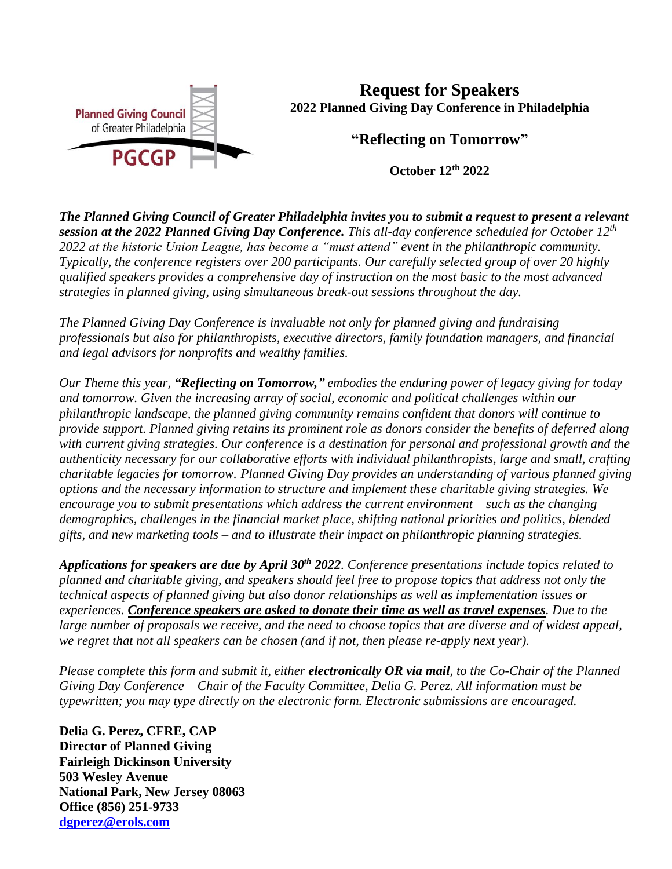

**Request for Speakers 2022 Planned Giving Day Conference in Philadelphia**

**"Reflecting on Tomorrow"**

**October 12th 2022**

*The Planned Giving Council of Greater Philadelphia invites you to submit a request to present a relevant session at the 2022 Planned Giving Day Conference. This all-day conference scheduled for October 12th 2022 at the historic Union League, has become a "must attend" event in the philanthropic community. Typically, the conference registers over 200 participants. Our carefully selected group of over 20 highly qualified speakers provides a comprehensive day of instruction on the most basic to the most advanced strategies in planned giving, using simultaneous break-out sessions throughout the day.* 

*The Planned Giving Day Conference is invaluable not only for planned giving and fundraising professionals but also for philanthropists, executive directors, family foundation managers, and financial and legal advisors for nonprofits and wealthy families.*

*Our Theme this year, "Reflecting on Tomorrow," embodies the enduring power of legacy giving for today and tomorrow. Given the increasing array of social, economic and political challenges within our philanthropic landscape, the planned giving community remains confident that donors will continue to provide support. Planned giving retains its prominent role as donors consider the benefits of deferred along with current giving strategies. Our conference is a destination for personal and professional growth and the authenticity necessary for our collaborative efforts with individual philanthropists, large and small, crafting charitable legacies for tomorrow. Planned Giving Day provides an understanding of various planned giving options and the necessary information to structure and implement these charitable giving strategies. We encourage you to submit presentations which address the current environment – such as the changing demographics, challenges in the financial market place, shifting national priorities and politics, blended gifts, and new marketing tools – and to illustrate their impact on philanthropic planning strategies.*

*Applications for speakers are due by April 30th 2022. Conference presentations include topics related to planned and charitable giving, and speakers should feel free to propose topics that address not only the technical aspects of planned giving but also donor relationships as well as implementation issues or experiences. Conference speakers are asked to donate their time as well as travel expenses. Due to the large number of proposals we receive, and the need to choose topics that are diverse and of widest appeal, we regret that not all speakers can be chosen (and if not, then please re-apply next year).*

*Please complete this form and submit it, either electronically OR via mail, to the Co-Chair of the Planned Giving Day Conference – Chair of the Faculty Committee, Delia G. Perez. All information must be typewritten; you may type directly on the electronic form. Electronic submissions are encouraged.* 

**Delia G. Perez, CFRE, CAP Director of Planned Giving Fairleigh Dickinson University 503 Wesley Avenue National Park, New Jersey 08063 Office (856) 251-9733 [dgperez@erols.com](mailto:dgperez@erols.com)**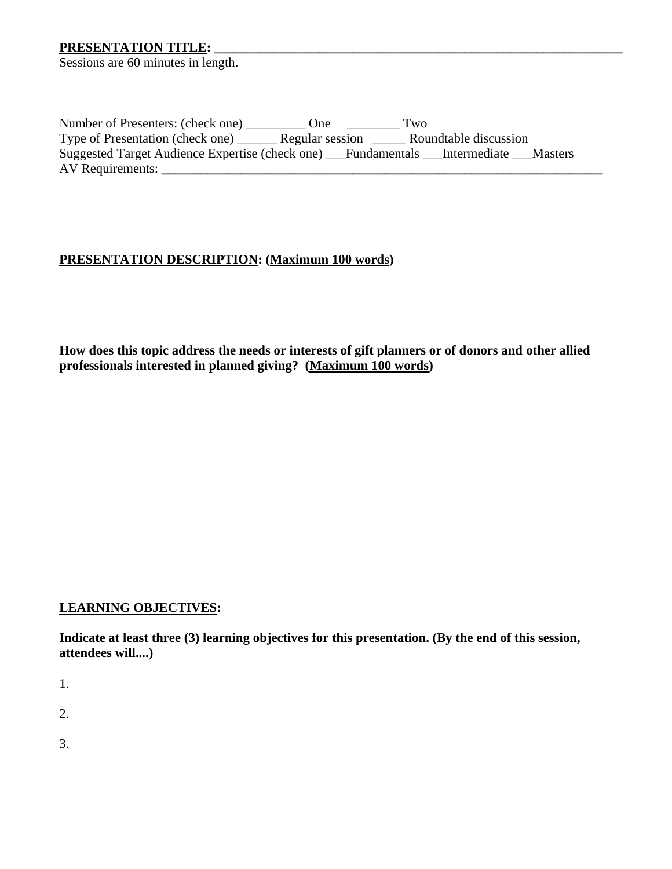# **PRESENTATION TITLE: \_\_\_\_\_\_\_\_\_\_\_\_\_\_\_\_\_\_\_\_\_\_\_\_\_\_\_\_\_\_\_\_\_\_\_\_\_\_\_\_\_\_\_\_\_\_\_\_\_\_\_\_\_\_\_\_\_\_\_\_\_\_**

Sessions are 60 minutes in length.

Number of Presenters: (check one) \_\_\_\_\_\_\_\_\_\_\_ One \_\_\_\_\_\_\_\_\_\_\_ Two Type of Presentation (check one) \_\_\_\_\_\_ Regular session \_\_\_\_\_ Roundtable discussion Suggested Target Audience Expertise (check one) \_\_\_Fundamentals \_\_\_Intermediate \_\_\_Masters AV Requirements: **\_\_\_\_\_\_\_\_\_\_\_\_\_\_\_\_\_\_\_\_\_\_\_\_\_\_\_\_\_\_\_\_\_\_\_\_\_\_\_\_\_\_\_\_\_\_\_\_\_\_\_\_\_\_\_\_\_\_\_\_\_\_\_\_\_\_\_**

### **PRESENTATION DESCRIPTION: (Maximum 100 words)**

**How does this topic address the needs or interests of gift planners or of donors and other allied professionals interested in planned giving? (Maximum 100 words)**

#### **LEARNING OBJECTIVES:**

**Indicate at least three (3) learning objectives for this presentation. (By the end of this session, attendees will....)**

1.

2.

3.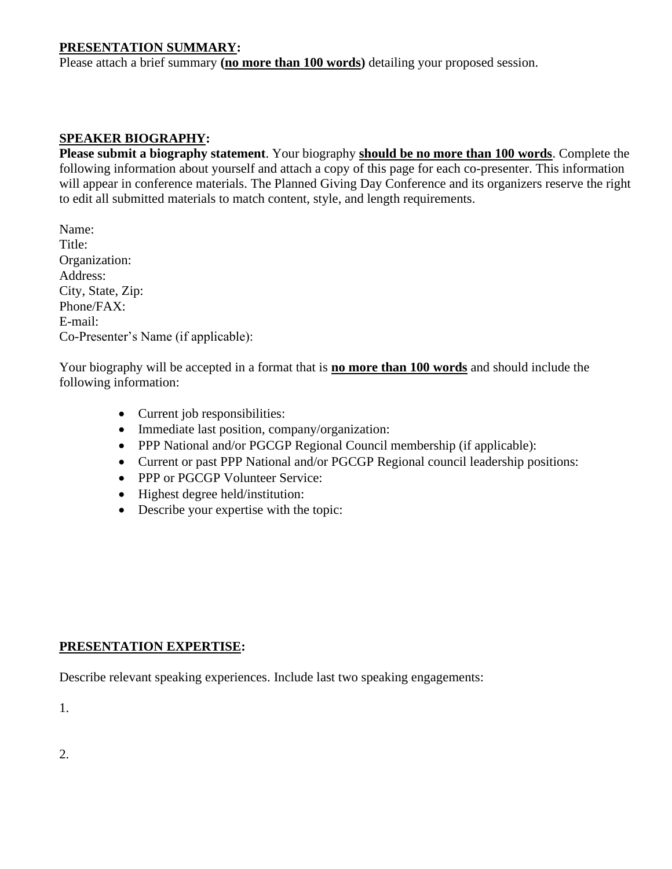## **PRESENTATION SUMMARY:**

Please attach a brief summary **(no more than 100 words)** detailing your proposed session.

# **SPEAKER BIOGRAPHY:**

**Please submit a biography statement**. Your biography **should be no more than 100 words**. Complete the following information about yourself and attach a copy of this page for each co-presenter. This information will appear in conference materials. The Planned Giving Day Conference and its organizers reserve the right to edit all submitted materials to match content, style, and length requirements.

Name: Title: Organization: Address: City, State, Zip: Phone/FAX: E-mail: Co-Presenter's Name (if applicable):

Your biography will be accepted in a format that is **no more than 100 words** and should include the following information:

- Current job responsibilities:
- Immediate last position, company/organization:
- PPP National and/or PGCGP Regional Council membership (if applicable):
- Current or past PPP National and/or PGCGP Regional council leadership positions:
- PPP or PGCGP Volunteer Service:
- Highest degree held/institution:
- Describe your expertise with the topic:

## **PRESENTATION EXPERTISE:**

Describe relevant speaking experiences. Include last two speaking engagements:

1.